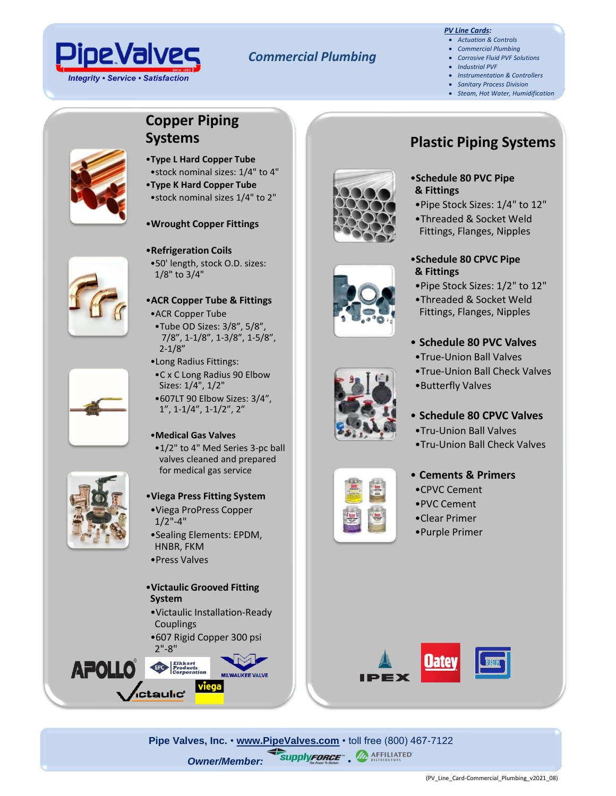

### *Commercial Plumbing*

### *PV Line Cards:*

- *Actuation & Controls*
- *Commercial Plumbing* • *Corrosive Fluid PVF Solutions*
- *Industrial PVF*
- *Instrumentation & Controllers*
- *Sanitary Process Division*
- *Steam, Hot Water, Humidification*

# **Copper Piping Systems**



- •**Type L Hard Copper Tube** •stock nominal sizes: 1/4" to 4"
- •**Type K Hard Copper Tube** •stock nominal sizes 1/4" to 2"
- •**Wrought Copper Fittings**

### •**Refrigeration Coils**

•50' length, stock O.D. sizes: 1/8" to 3/4"

## •**ACR Copper Tube & Fittings**

- •ACR Copper Tube
- •Tube OD Sizes: 3/8", 5/8", 7/8", 1-1/8", 1-3/8", 1-5/8", 2-1/8"
- •Long Radius Fittings:
- •C x C Long Radius 90 Elbow Sizes: 1/4", 1/2" •607LT 90 Elbow Sizes: 3/4", 1", 1-1/4", 1-1/2", 2"

### •**Medical Gas Valves**

- •1/2" to 4" Med Series 3-pc ball valves cleaned and prepared for medical gas service
- •**Viega Press Fitting System**
- •Viega ProPress Copper  $1/2$ "-4"
- •Sealing Elements: EPDM, HNBR, FKM
- •Press Valves

### •**Victaulic Grooved Fitting System**

- •Victaulic Installation-Ready Couplings
- •607 Rigid Copper 300 psi 2"-8"















# **Plastic Piping Systems**

- •**Schedule 80 PVC Pipe & Fittings**
- •Pipe Stock Sizes: 1/4" to 12"
- •Threaded & Socket Weld Fittings, Flanges, Nipples

### •**Schedule 80 CPVC Pipe & Fittings**

- •Pipe Stock Sizes: 1/2" to 12"
- •Threaded & Socket Weld Fittings, Flanges, Nipples

## • **Schedule 80 PVC Valves**

- •True-Union Ball Valves
- •True-Union Ball Check Valves
- •Butterfly Valves

### • **Schedule 80 CPVC Valves**

- •Tru-Union Ball Valves
- •Tru-Union Ball Check Valves

### • **Cements & Primers**

- •CPVC Cement
- •PVC Cement
- •Clear Primer
- •Purple Primer



**Pipe Valves, Inc.** • **[www.PipeValves.com](file://///pvi-fps01/Public/Line%20Cards/Columbus/Line%20Cards-Corrosive%20Fluid%20PVF%20Solutions/www.PipeValves.com)** • toll free (800) 467-7122 **Owner/Member: SupplyFORCE"** . **MAFFILIATED** 









**APOLL**